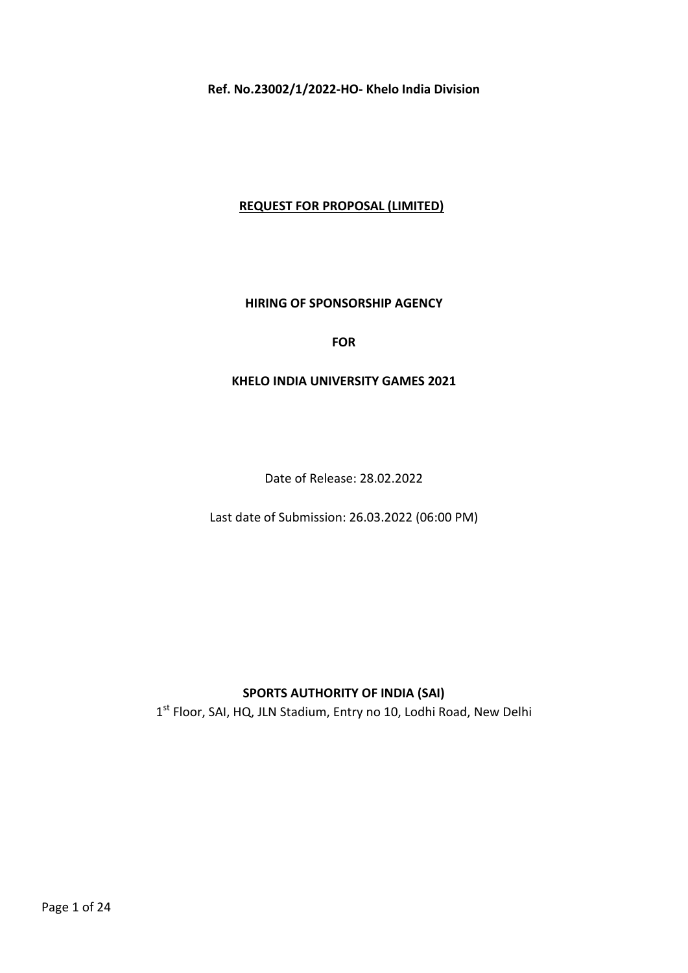Ref. No.23002/1/2022-HO- Khelo India Division

## REQUEST FOR PROPOSAL (LIMITED)

### HIRING OF SPONSORSHIP AGENCY

#### FOR

#### KHELO INDIA UNIVERSITY GAMES 2021

Date of Release: 28.02.2022

Last date of Submission: 26.03.2022 (06:00 PM)

# SPORTS AUTHORITY OF INDIA (SAI)

1<sup>st</sup> Floor, SAI, HQ, JLN Stadium, Entry no 10, Lodhi Road, New Delhi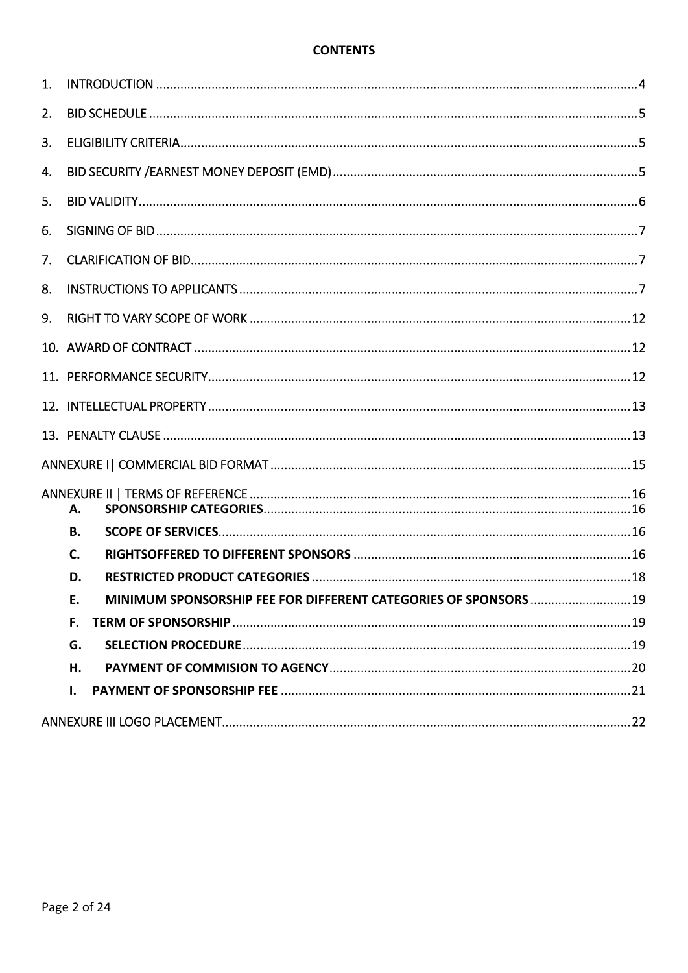### **CONTENTS**

| 1. |                                                                        |  |
|----|------------------------------------------------------------------------|--|
| 2. |                                                                        |  |
| 3. |                                                                        |  |
| 4. |                                                                        |  |
| 5. |                                                                        |  |
| 6. |                                                                        |  |
| 7. |                                                                        |  |
| 8. |                                                                        |  |
| 9. |                                                                        |  |
|    |                                                                        |  |
|    |                                                                        |  |
|    |                                                                        |  |
|    |                                                                        |  |
|    |                                                                        |  |
|    | А.                                                                     |  |
|    | В.                                                                     |  |
|    | C.                                                                     |  |
|    | D.                                                                     |  |
|    | MINIMUM SPONSORSHIP FEE FOR DIFFERENT CATEGORIES OF SPONSORS  19<br>E. |  |
|    | F.                                                                     |  |
|    | G.                                                                     |  |
|    | Н.                                                                     |  |
|    | I.                                                                     |  |
|    |                                                                        |  |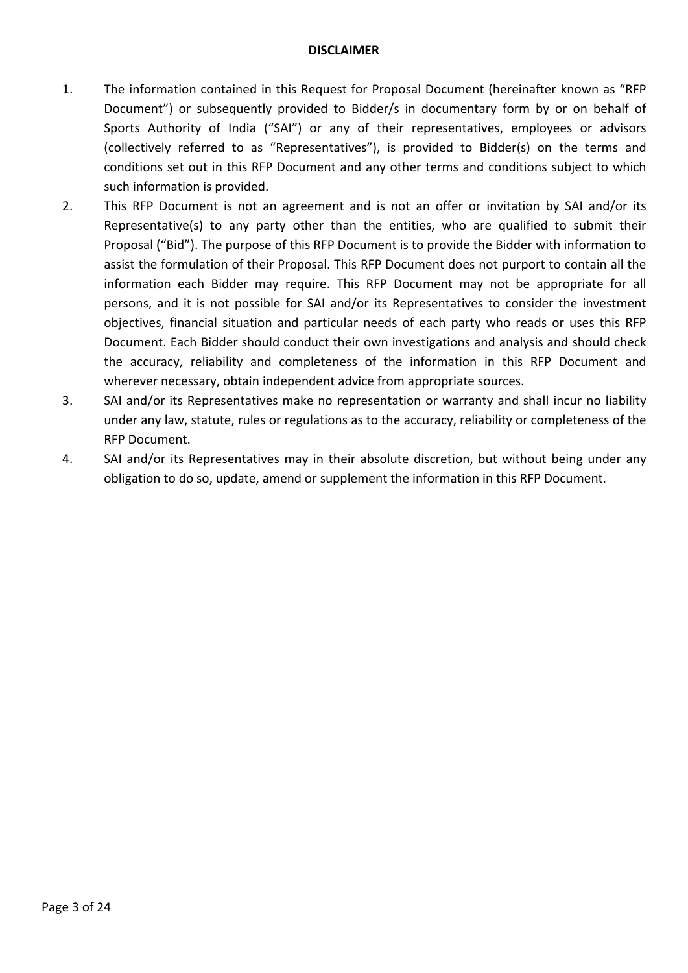### DISCLAIMER

- 1. The information contained in this Request for Proposal Document (hereinafter known as "RFP Document") or subsequently provided to Bidder/s in documentary form by or on behalf of Sports Authority of India ("SAI") or any of their representatives, employees or advisors (collectively referred to as "Representatives"), is provided to Bidder(s) on the terms and conditions set out in this RFP Document and any other terms and conditions subject to which such information is provided.
- 2. This RFP Document is not an agreement and is not an offer or invitation by SAI and/or its Representative(s) to any party other than the entities, who are qualified to submit their Proposal ("Bid"). The purpose of this RFP Document is to provide the Bidder with information to assist the formulation of their Proposal. This RFP Document does not purport to contain all the information each Bidder may require. This RFP Document may not be appropriate for all persons, and it is not possible for SAI and/or its Representatives to consider the investment objectives, financial situation and particular needs of each party who reads or uses this RFP Document. Each Bidder should conduct their own investigations and analysis and should check the accuracy, reliability and completeness of the information in this RFP Document and wherever necessary, obtain independent advice from appropriate sources.
- 3. SAI and/or its Representatives make no representation or warranty and shall incur no liability under any law, statute, rules or regulations as to the accuracy, reliability or completeness of the RFP Document.
- 4. SAI and/or its Representatives may in their absolute discretion, but without being under any obligation to do so, update, amend or supplement the information in this RFP Document.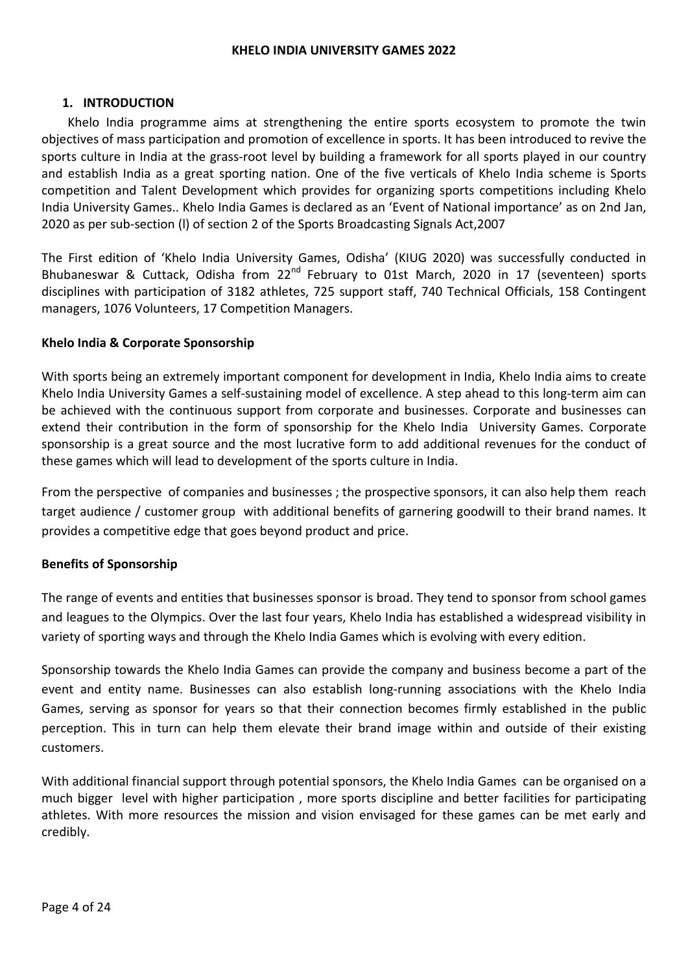#### KHELO INDIA UNIVERSITY GAMES 2022

### 1. INTRODUCTION

Khelo India programme aims at strengthening the entire sports ecosystem to promote the twin objectives of mass participation and promotion of excellence in sports. It has been introduced to revive the sports culture in India at the grass-root level by building a framework for all sports played in our country and establish India as a great sporting nation. One of the five verticals of Khelo India scheme is Sports competition and Talent Development which provides for organizing sports competitions including Khelo India University Games.. Khelo India Games is declared as an 'Event of National importance' as on 2nd Jan, 2020 as per sub-section (l) of section 2 of the Sports Broadcasting Signals Act,2007

The First edition of 'Khelo India University Games, Odisha' (KIUG 2020) was successfully conducted in Bhubaneswar & Cuttack, Odisha from 22<sup>nd</sup> February to 01st March, 2020 in 17 (seventeen) sports disciplines with participation of 3182 athletes, 725 support staff, 740 Technical Officials, 158 Contingent managers, 1076 Volunteers, 17 Competition Managers.

### Khelo India & Corporate Sponsorship

With sports being an extremely important component for development in India, Khelo India aims to create Khelo India University Games a self-sustaining model of excellence. A step ahead to this long-term aim can be achieved with the continuous support from corporate and businesses. Corporate and businesses can extend their contribution in the form of sponsorship for the Khelo India University Games. Corporate sponsorship is a great source and the most lucrative form to add additional revenues for the conduct of these games which will lead to development of the sports culture in India.

From the perspective of companies and businesses ; the prospective sponsors, it can also help them reach target audience / customer group with additional benefits of garnering goodwill to their brand names. It provides a competitive edge that goes beyond product and price.

### Benefits of Sponsorship

The range of events and entities that businesses sponsor is broad. They tend to sponsor from school games and leagues to the Olympics. Over the last four years, Khelo India has established a widespread visibility in variety of sporting ways and through the Khelo India Games which is evolving with every edition.

Sponsorship towards the Khelo India Games can provide the company and business become a part of the event and entity name. Businesses can also establish long-running associations with the Khelo India Games, serving as sponsor for years so that their connection becomes firmly established in the public perception. This in turn can help them elevate their brand image within and outside of their existing customers.

With additional financial support through potential sponsors, the Khelo India Games can be organised on a much bigger level with higher participation , more sports discipline and better facilities for participating athletes. With more resources the mission and vision envisaged for these games can be met early and credibly.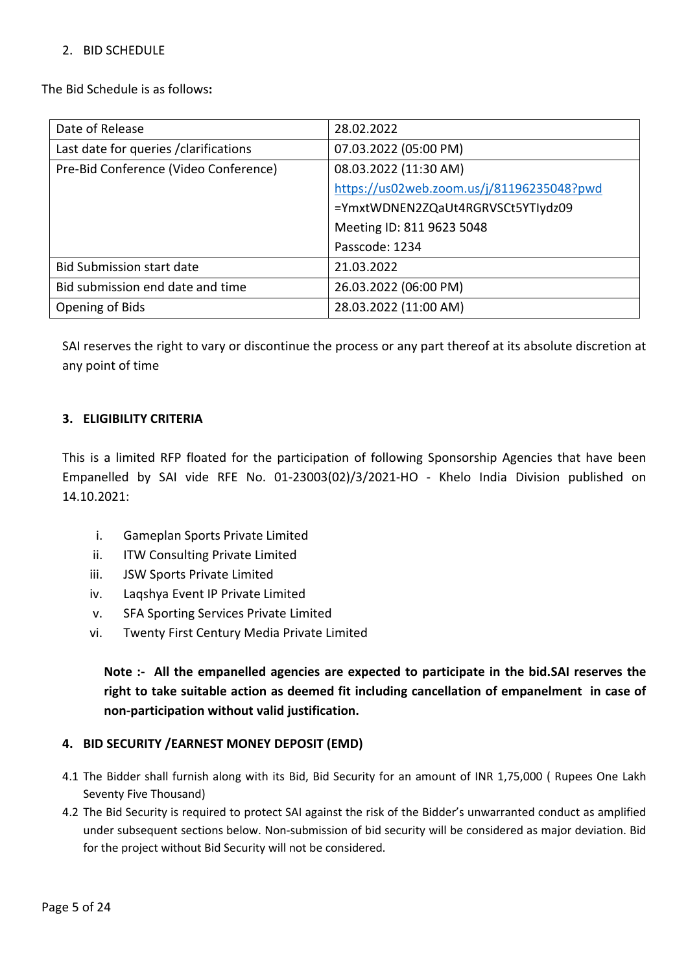### 2. BID SCHEDULE

The Bid Schedule is as follows:

| Date of Release                        | 28.02.2022                                |  |
|----------------------------------------|-------------------------------------------|--|
| Last date for queries / clarifications | 07.03.2022 (05:00 PM)                     |  |
| Pre-Bid Conference (Video Conference)  | 08.03.2022 (11:30 AM)                     |  |
|                                        | https://us02web.zoom.us/j/81196235048?pwd |  |
|                                        | =YmxtWDNEN2ZQaUt4RGRVSCt5YTIydz09         |  |
|                                        | Meeting ID: 811 9623 5048                 |  |
|                                        | Passcode: 1234                            |  |
| <b>Bid Submission start date</b>       | 21.03.2022                                |  |
| Bid submission end date and time       | 26.03.2022 (06:00 PM)                     |  |
| Opening of Bids                        | 28.03.2022 (11:00 AM)                     |  |

SAI reserves the right to vary or discontinue the process or any part thereof at its absolute discretion at any point of time

### 3. ELIGIBILITY CRITERIA

This is a limited RFP floated for the participation of following Sponsorship Agencies that have been Empanelled by SAI vide RFE No. 01-23003(02)/3/2021-HO - Khelo India Division published on 14.10.2021:

- i. Gameplan Sports Private Limited
- ii. ITW Consulting Private Limited
- iii. JSW Sports Private Limited
- iv. Laqshya Event IP Private Limited
- v. SFA Sporting Services Private Limited
- vi. Twenty First Century Media Private Limited

Note :- All the empanelled agencies are expected to participate in the bid.SAI reserves the right to take suitable action as deemed fit including cancellation of empanelment in case of non-participation without valid justification.

## 4. BID SECURITY /EARNEST MONEY DEPOSIT (EMD)

- 4.1 The Bidder shall furnish along with its Bid, Bid Security for an amount of INR 1,75,000 ( Rupees One Lakh Seventy Five Thousand)
- 4.2 The Bid Security is required to protect SAI against the risk of the Bidder's unwarranted conduct as amplified under subsequent sections below. Non-submission of bid security will be considered as major deviation. Bid for the project without Bid Security will not be considered.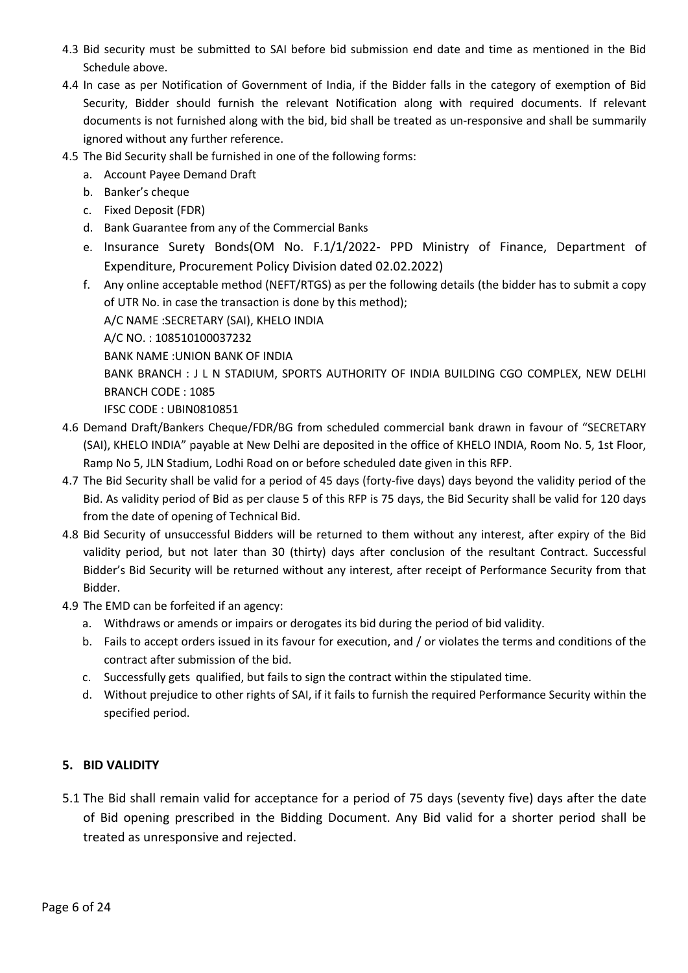- 4.3 Bid security must be submitted to SAI before bid submission end date and time as mentioned in the Bid Schedule above.
- 4.4 In case as per Notification of Government of India, if the Bidder falls in the category of exemption of Bid Security, Bidder should furnish the relevant Notification along with required documents. If relevant documents is not furnished along with the bid, bid shall be treated as un-responsive and shall be summarily ignored without any further reference.
- 4.5 The Bid Security shall be furnished in one of the following forms:
	- a. Account Payee Demand Draft
	- b. Banker's cheque
	- c. Fixed Deposit (FDR)
	- d. Bank Guarantee from any of the Commercial Banks
	- e. Insurance Surety Bonds(OM No. F.1/1/2022- PPD Ministry of Finance, Department of Expenditure, Procurement Policy Division dated 02.02.2022)
	- f. Any online acceptable method (NEFT/RTGS) as per the following details (the bidder has to submit a copy of UTR No. in case the transaction is done by this method); A/C NAME :SECRETARY (SAI), KHELO INDIA A/C NO. : 108510100037232 BANK NAME :UNION BANK OF INDIA BANK BRANCH : J L N STADIUM, SPORTS AUTHORITY OF INDIA BUILDING CGO COMPLEX, NEW DELHI BRANCH CODE : 1085 IFSC CODE : UBIN0810851
- 4.6 Demand Draft/Bankers Cheque/FDR/BG from scheduled commercial bank drawn in favour of "SECRETARY (SAI), KHELO INDIA" payable at New Delhi are deposited in the office of KHELO INDIA, Room No. 5, 1st Floor, Ramp No 5, JLN Stadium, Lodhi Road on or before scheduled date given in this RFP.
- 4.7 The Bid Security shall be valid for a period of 45 days (forty-five days) days beyond the validity period of the Bid. As validity period of Bid as per clause 5 of this RFP is 75 days, the Bid Security shall be valid for 120 days from the date of opening of Technical Bid.
- 4.8 Bid Security of unsuccessful Bidders will be returned to them without any interest, after expiry of the Bid validity period, but not later than 30 (thirty) days after conclusion of the resultant Contract. Successful Bidder's Bid Security will be returned without any interest, after receipt of Performance Security from that Bidder.
- 4.9 The EMD can be forfeited if an agency:
	- a. Withdraws or amends or impairs or derogates its bid during the period of bid validity.
	- b. Fails to accept orders issued in its favour for execution, and / or violates the terms and conditions of the contract after submission of the bid.
	- c. Successfully gets qualified, but fails to sign the contract within the stipulated time.
	- d. Without prejudice to other rights of SAI, if it fails to furnish the required Performance Security within the specified period.

## 5. BID VALIDITY

5.1 The Bid shall remain valid for acceptance for a period of 75 days (seventy five) days after the date of Bid opening prescribed in the Bidding Document. Any Bid valid for a shorter period shall be treated as unresponsive and rejected.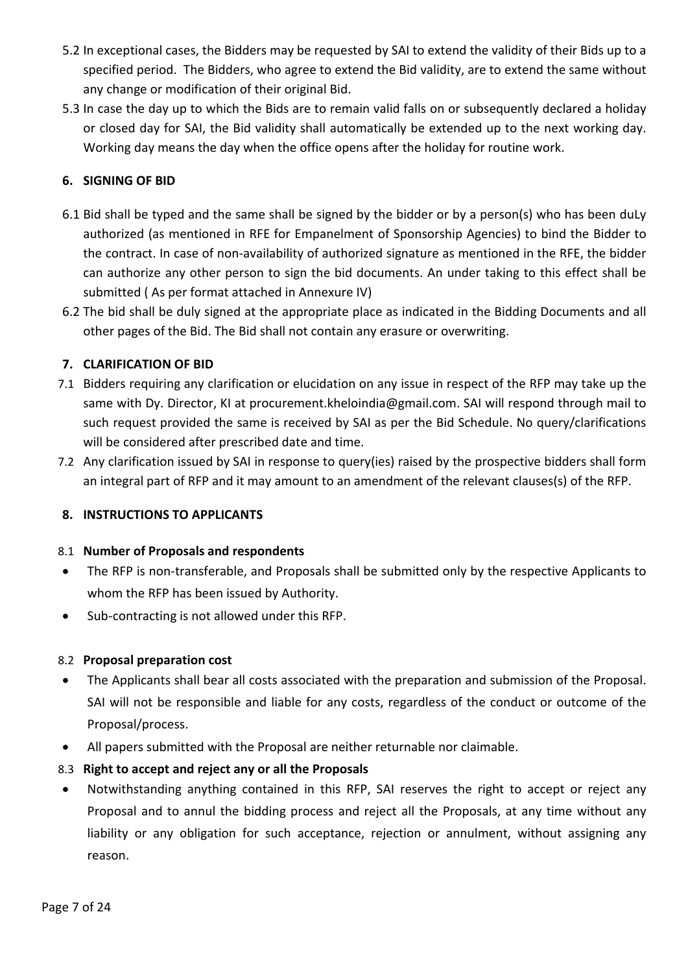- 5.2 In exceptional cases, the Bidders may be requested by SAI to extend the validity of their Bids up to a specified period. The Bidders, who agree to extend the Bid validity, are to extend the same without any change or modification of their original Bid.
- 5.3 In case the day up to which the Bids are to remain valid falls on or subsequently declared a holiday or closed day for SAI, the Bid validity shall automatically be extended up to the next working day. Working day means the day when the office opens after the holiday for routine work.

# 6. SIGNING OF BID

- 6.1 Bid shall be typed and the same shall be signed by the bidder or by a person(s) who has been duLy authorized (as mentioned in RFE for Empanelment of Sponsorship Agencies) to bind the Bidder to the contract. In case of non-availability of authorized signature as mentioned in the RFE, the bidder can authorize any other person to sign the bid documents. An under taking to this effect shall be submitted ( As per format attached in Annexure IV)
- 6.2 The bid shall be duly signed at the appropriate place as indicated in the Bidding Documents and all other pages of the Bid. The Bid shall not contain any erasure or overwriting.

## 7. CLARIFICATION OF BID

- 7.1 Bidders requiring any clarification or elucidation on any issue in respect of the RFP may take up the same with Dy. Director, KI at procurement.kheloindia@gmail.com. SAI will respond through mail to such request provided the same is received by SAI as per the Bid Schedule. No query/clarifications will be considered after prescribed date and time.
- 7.2 Any clarification issued by SAI in response to query(ies) raised by the prospective bidders shall form an integral part of RFP and it may amount to an amendment of the relevant clauses(s) of the RFP.

## 8. INSTRUCTIONS TO APPLICANTS

### 8.1 Number of Proposals and respondents

- The RFP is non-transferable, and Proposals shall be submitted only by the respective Applicants to whom the RFP has been issued by Authority.
- Sub-contracting is not allowed under this RFP.

## 8.2 Proposal preparation cost

- The Applicants shall bear all costs associated with the preparation and submission of the Proposal. SAI will not be responsible and liable for any costs, regardless of the conduct or outcome of the Proposal/process.
- All papers submitted with the Proposal are neither returnable nor claimable.

## 8.3 Right to accept and reject any or all the Proposals

 Notwithstanding anything contained in this RFP, SAI reserves the right to accept or reject any Proposal and to annul the bidding process and reject all the Proposals, at any time without any liability or any obligation for such acceptance, rejection or annulment, without assigning any reason.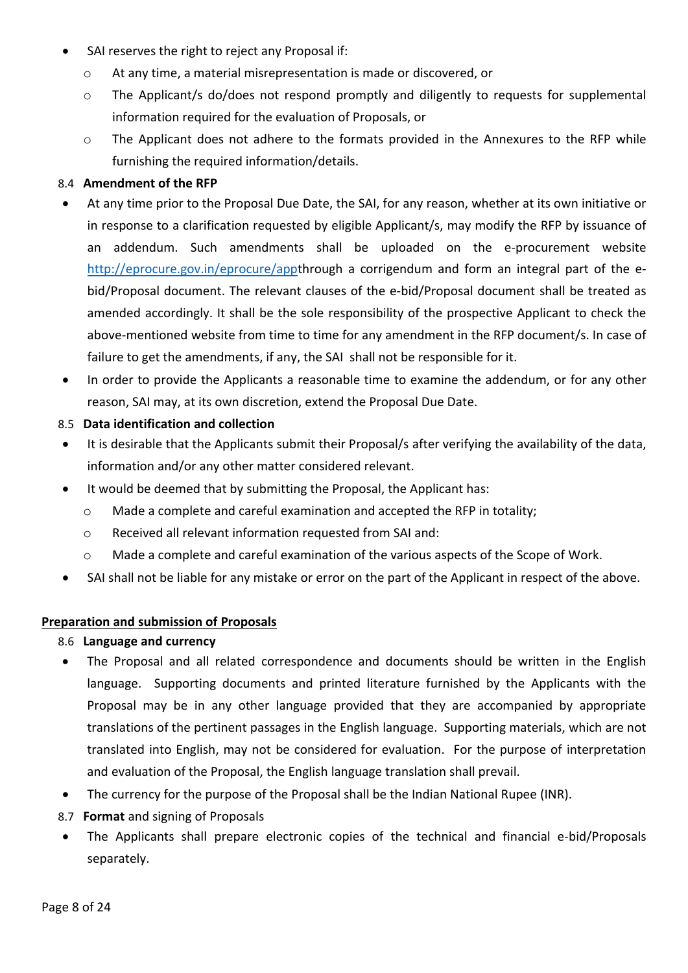- SAI reserves the right to reject any Proposal if:
	- o At any time, a material misrepresentation is made or discovered, or
	- o The Applicant/s do/does not respond promptly and diligently to requests for supplemental information required for the evaluation of Proposals, or
	- o The Applicant does not adhere to the formats provided in the Annexures to the RFP while furnishing the required information/details.

## 8.4 Amendment of the RFP

- At any time prior to the Proposal Due Date, the SAI, for any reason, whether at its own initiative or in response to a clarification requested by eligible Applicant/s, may modify the RFP by issuance of an addendum. Such amendments shall be uploaded on the e-procurement website http://eprocure.gov.in/eprocure/appthrough a corrigendum and form an integral part of the ebid/Proposal document. The relevant clauses of the e-bid/Proposal document shall be treated as amended accordingly. It shall be the sole responsibility of the prospective Applicant to check the above-mentioned website from time to time for any amendment in the RFP document/s. In case of failure to get the amendments, if any, the SAI shall not be responsible for it.
- In order to provide the Applicants a reasonable time to examine the addendum, or for any other reason, SAI may, at its own discretion, extend the Proposal Due Date.

### 8.5 Data identification and collection

- It is desirable that the Applicants submit their Proposal/s after verifying the availability of the data, information and/or any other matter considered relevant.
- It would be deemed that by submitting the Proposal, the Applicant has:
	- o Made a complete and careful examination and accepted the RFP in totality;
	- o Received all relevant information requested from SAI and:
	- o Made a complete and careful examination of the various aspects of the Scope of Work.
- SAI shall not be liable for any mistake or error on the part of the Applicant in respect of the above.

## Preparation and submission of Proposals

- 8.6 Language and currency
- The Proposal and all related correspondence and documents should be written in the English language. Supporting documents and printed literature furnished by the Applicants with the Proposal may be in any other language provided that they are accompanied by appropriate translations of the pertinent passages in the English language. Supporting materials, which are not translated into English, may not be considered for evaluation. For the purpose of interpretation and evaluation of the Proposal, the English language translation shall prevail.
- The currency for the purpose of the Proposal shall be the Indian National Rupee (INR).
- 8.7 Format and signing of Proposals
- The Applicants shall prepare electronic copies of the technical and financial e-bid/Proposals separately.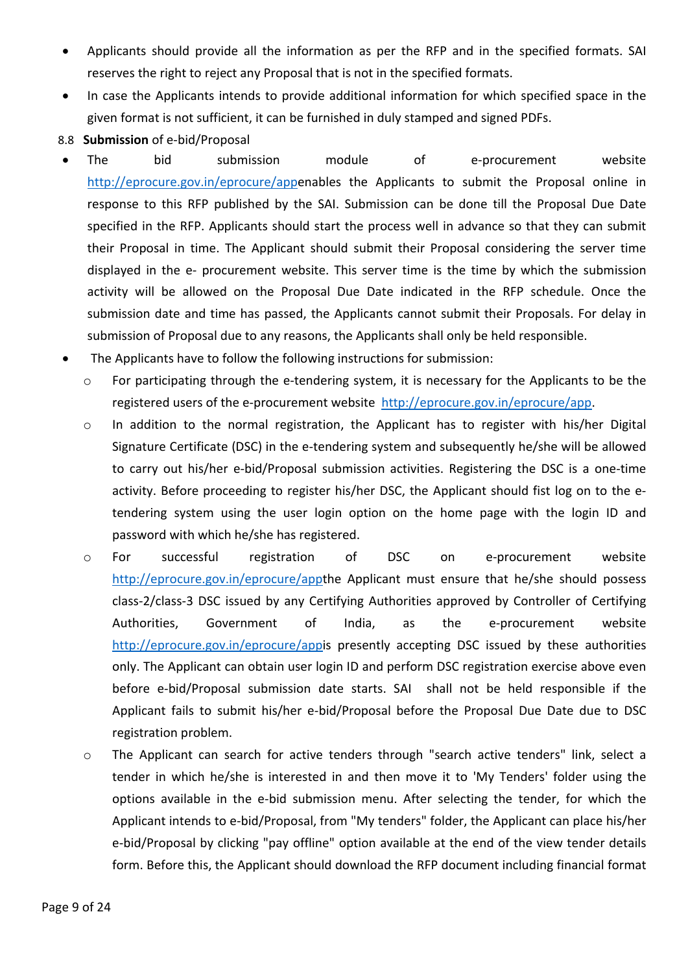- Applicants should provide all the information as per the RFP and in the specified formats. SAI reserves the right to reject any Proposal that is not in the specified formats.
- In case the Applicants intends to provide additional information for which specified space in the given format is not sufficient, it can be furnished in duly stamped and signed PDFs.
- 8.8 Submission of e-bid/Proposal
- The bid submission module of e-procurement website http://eprocure.gov.in/eprocure/appenables the Applicants to submit the Proposal online in response to this RFP published by the SAI. Submission can be done till the Proposal Due Date specified in the RFP. Applicants should start the process well in advance so that they can submit their Proposal in time. The Applicant should submit their Proposal considering the server time displayed in the e- procurement website. This server time is the time by which the submission activity will be allowed on the Proposal Due Date indicated in the RFP schedule. Once the submission date and time has passed, the Applicants cannot submit their Proposals. For delay in submission of Proposal due to any reasons, the Applicants shall only be held responsible.
- The Applicants have to follow the following instructions for submission:
	- o For participating through the e-tendering system, it is necessary for the Applicants to be the registered users of the e-procurement website http://eprocure.gov.in/eprocure/app.
	- o In addition to the normal registration, the Applicant has to register with his/her Digital Signature Certificate (DSC) in the e-tendering system and subsequently he/she will be allowed to carry out his/her e-bid/Proposal submission activities. Registering the DSC is a one-time activity. Before proceeding to register his/her DSC, the Applicant should fist log on to the etendering system using the user login option on the home page with the login ID and password with which he/she has registered.
	- o For successful registration of DSC on e-procurement website http://eprocure.gov.in/eprocure/appthe Applicant must ensure that he/she should possess class-2/class-3 DSC issued by any Certifying Authorities approved by Controller of Certifying Authorities, Government of India, as the e-procurement website http://eprocure.gov.in/eprocure/appis presently accepting DSC issued by these authorities only. The Applicant can obtain user login ID and perform DSC registration exercise above even before e-bid/Proposal submission date starts. SAI shall not be held responsible if the Applicant fails to submit his/her e-bid/Proposal before the Proposal Due Date due to DSC registration problem.
	- o The Applicant can search for active tenders through "search active tenders" link, select a tender in which he/she is interested in and then move it to 'My Tenders' folder using the options available in the e-bid submission menu. After selecting the tender, for which the Applicant intends to e-bid/Proposal, from "My tenders" folder, the Applicant can place his/her e-bid/Proposal by clicking "pay offline" option available at the end of the view tender details form. Before this, the Applicant should download the RFP document including financial format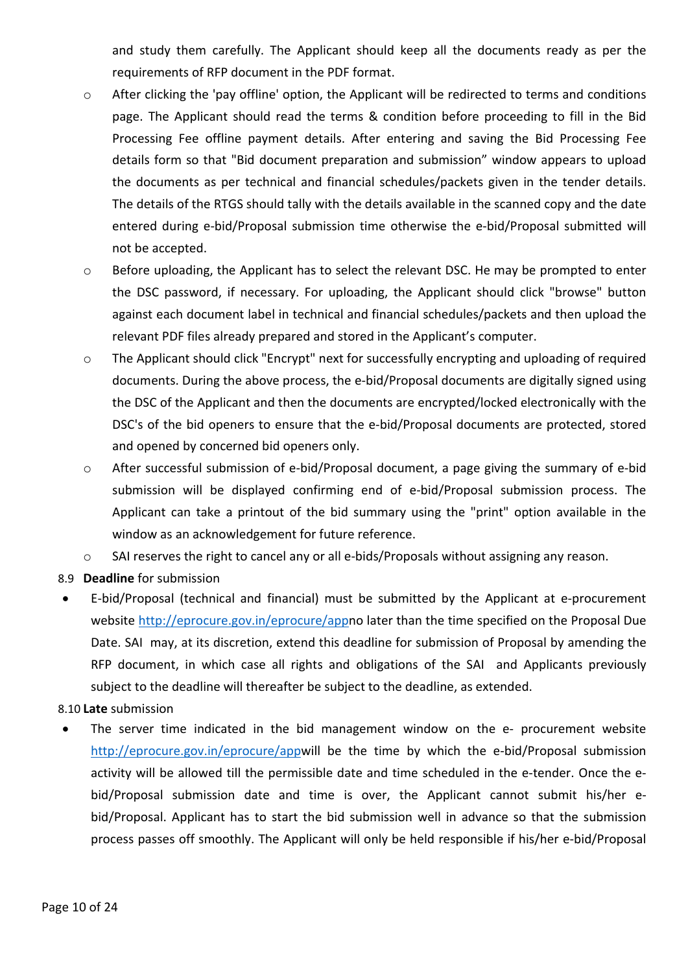and study them carefully. The Applicant should keep all the documents ready as per the requirements of RFP document in the PDF format.

- o After clicking the 'pay offline' option, the Applicant will be redirected to terms and conditions page. The Applicant should read the terms & condition before proceeding to fill in the Bid Processing Fee offline payment details. After entering and saving the Bid Processing Fee details form so that "Bid document preparation and submission" window appears to upload the documents as per technical and financial schedules/packets given in the tender details. The details of the RTGS should tally with the details available in the scanned copy and the date entered during e-bid/Proposal submission time otherwise the e-bid/Proposal submitted will not be accepted.
- o Before uploading, the Applicant has to select the relevant DSC. He may be prompted to enter the DSC password, if necessary. For uploading, the Applicant should click "browse" button against each document label in technical and financial schedules/packets and then upload the relevant PDF files already prepared and stored in the Applicant's computer.
- o The Applicant should click "Encrypt" next for successfully encrypting and uploading of required documents. During the above process, the e-bid/Proposal documents are digitally signed using the DSC of the Applicant and then the documents are encrypted/locked electronically with the DSC's of the bid openers to ensure that the e-bid/Proposal documents are protected, stored and opened by concerned bid openers only.
- o After successful submission of e-bid/Proposal document, a page giving the summary of e-bid submission will be displayed confirming end of e-bid/Proposal submission process. The Applicant can take a printout of the bid summary using the "print" option available in the window as an acknowledgement for future reference.
- o SAI reserves the right to cancel any or all e-bids/Proposals without assigning any reason.
- 8.9 Deadline for submission
- E-bid/Proposal (technical and financial) must be submitted by the Applicant at e-procurement website http://eprocure.gov.in/eprocure/appno later than the time specified on the Proposal Due Date. SAI may, at its discretion, extend this deadline for submission of Proposal by amending the RFP document, in which case all rights and obligations of the SAI and Applicants previously subject to the deadline will thereafter be subject to the deadline, as extended.

### 8.10 Late submission

 The server time indicated in the bid management window on the e- procurement website http://eprocure.gov.in/eprocure/appwill be the time by which the e-bid/Proposal submission activity will be allowed till the permissible date and time scheduled in the e-tender. Once the ebid/Proposal submission date and time is over, the Applicant cannot submit his/her ebid/Proposal. Applicant has to start the bid submission well in advance so that the submission process passes off smoothly. The Applicant will only be held responsible if his/her e-bid/Proposal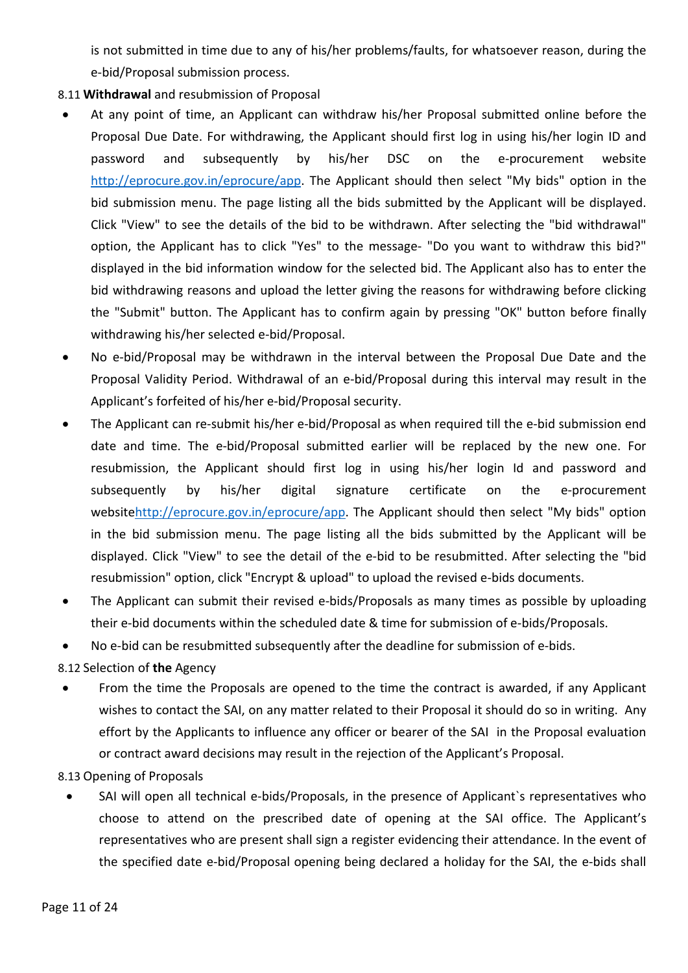is not submitted in time due to any of his/her problems/faults, for whatsoever reason, during the e-bid/Proposal submission process.

- 8.11 Withdrawal and resubmission of Proposal
- At any point of time, an Applicant can withdraw his/her Proposal submitted online before the Proposal Due Date. For withdrawing, the Applicant should first log in using his/her login ID and password and subsequently by his/her DSC on the e-procurement website http://eprocure.gov.in/eprocure/app. The Applicant should then select "My bids" option in the bid submission menu. The page listing all the bids submitted by the Applicant will be displayed. Click "View" to see the details of the bid to be withdrawn. After selecting the "bid withdrawal" option, the Applicant has to click "Yes" to the message- "Do you want to withdraw this bid?" displayed in the bid information window for the selected bid. The Applicant also has to enter the bid withdrawing reasons and upload the letter giving the reasons for withdrawing before clicking the "Submit" button. The Applicant has to confirm again by pressing "OK" button before finally withdrawing his/her selected e-bid/Proposal.
- No e-bid/Proposal may be withdrawn in the interval between the Proposal Due Date and the Proposal Validity Period. Withdrawal of an e-bid/Proposal during this interval may result in the Applicant's forfeited of his/her e-bid/Proposal security.
- The Applicant can re-submit his/her e-bid/Proposal as when required till the e-bid submission end date and time. The e-bid/Proposal submitted earlier will be replaced by the new one. For resubmission, the Applicant should first log in using his/her login Id and password and subsequently by his/her digital signature certificate on the e-procurement websitehttp://eprocure.gov.in/eprocure/app. The Applicant should then select "My bids" option in the bid submission menu. The page listing all the bids submitted by the Applicant will be displayed. Click "View" to see the detail of the e-bid to be resubmitted. After selecting the "bid resubmission" option, click "Encrypt & upload" to upload the revised e-bids documents.
- The Applicant can submit their revised e-bids/Proposals as many times as possible by uploading their e-bid documents within the scheduled date & time for submission of e-bids/Proposals.
- No e-bid can be resubmitted subsequently after the deadline for submission of e-bids.

8.12 Selection of the Agency

• From the time the Proposals are opened to the time the contract is awarded, if any Applicant wishes to contact the SAI, on any matter related to their Proposal it should do so in writing. Any effort by the Applicants to influence any officer or bearer of the SAI in the Proposal evaluation or contract award decisions may result in the rejection of the Applicant's Proposal.

8.13 Opening of Proposals

 SAI will open all technical e-bids/Proposals, in the presence of Applicant`s representatives who choose to attend on the prescribed date of opening at the SAI office. The Applicant's representatives who are present shall sign a register evidencing their attendance. In the event of the specified date e-bid/Proposal opening being declared a holiday for the SAI, the e-bids shall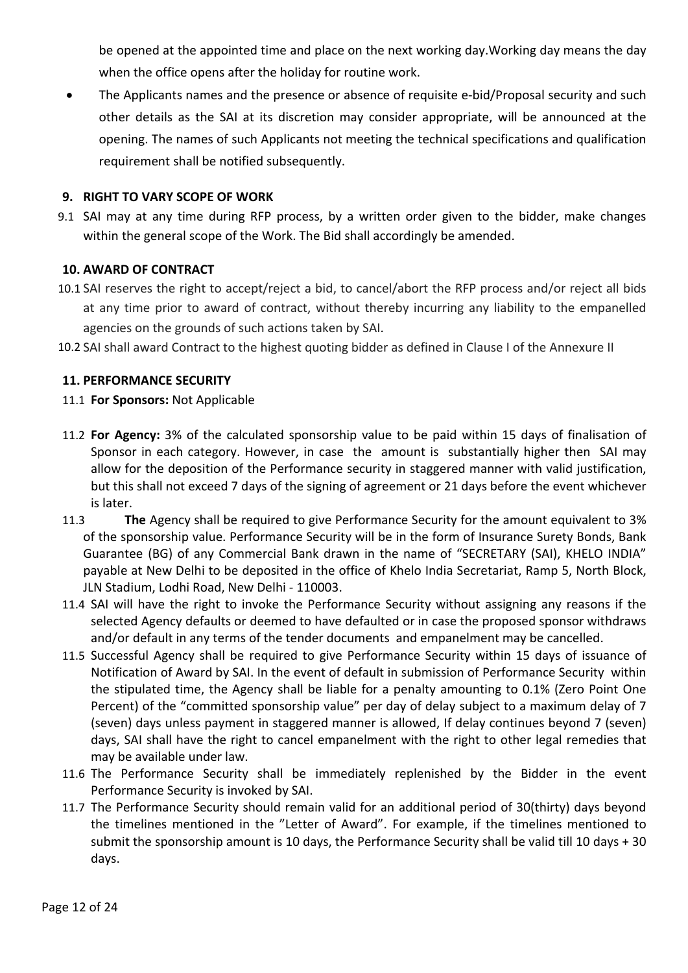be opened at the appointed time and place on the next working day.Working day means the day when the office opens after the holiday for routine work.

 The Applicants names and the presence or absence of requisite e-bid/Proposal security and such other details as the SAI at its discretion may consider appropriate, will be announced at the opening. The names of such Applicants not meeting the technical specifications and qualification requirement shall be notified subsequently.

## 9. RIGHT TO VARY SCOPE OF WORK

9.1 SAI may at any time during RFP process, by a written order given to the bidder, make changes within the general scope of the Work. The Bid shall accordingly be amended.

### 10. AWARD OF CONTRACT

- 10.1 SAI reserves the right to accept/reject a bid, to cancel/abort the RFP process and/or reject all bids at any time prior to award of contract, without thereby incurring any liability to the empanelled agencies on the grounds of such actions taken by SAI.
- 10.2 SAI shall award Contract to the highest quoting bidder as defined in Clause I of the Annexure II

### 11. PERFORMANCE SECURITY

### 11.1 For Sponsors: Not Applicable

- 11.2 For Agency: 3% of the calculated sponsorship value to be paid within 15 days of finalisation of Sponsor in each category. However, in case the amount is substantially higher then SAI may allow for the deposition of the Performance security in staggered manner with valid justification, but this shall not exceed 7 days of the signing of agreement or 21 days before the event whichever is later.
- 11.3 The Agency shall be required to give Performance Security for the amount equivalent to 3% of the sponsorship value. Performance Security will be in the form of Insurance Surety Bonds, Bank Guarantee (BG) of any Commercial Bank drawn in the name of "SECRETARY (SAI), KHELO INDIA" payable at New Delhi to be deposited in the office of Khelo India Secretariat, Ramp 5, North Block, JLN Stadium, Lodhi Road, New Delhi - 110003.
- 11.4 SAI will have the right to invoke the Performance Security without assigning any reasons if the selected Agency defaults or deemed to have defaulted or in case the proposed sponsor withdraws and/or default in any terms of the tender documents and empanelment may be cancelled.
- 11.5 Successful Agency shall be required to give Performance Security within 15 days of issuance of Notification of Award by SAI. In the event of default in submission of Performance Security within the stipulated time, the Agency shall be liable for a penalty amounting to 0.1% (Zero Point One Percent) of the "committed sponsorship value" per day of delay subject to a maximum delay of 7 (seven) days unless payment in staggered manner is allowed, If delay continues beyond 7 (seven) days, SAI shall have the right to cancel empanelment with the right to other legal remedies that may be available under law.
- 11.6 The Performance Security shall be immediately replenished by the Bidder in the event Performance Security is invoked by SAI.
- 11.7 The Performance Security should remain valid for an additional period of 30(thirty) days beyond the timelines mentioned in the "Letter of Award". For example, if the timelines mentioned to submit the sponsorship amount is 10 days, the Performance Security shall be valid till 10 days + 30 days.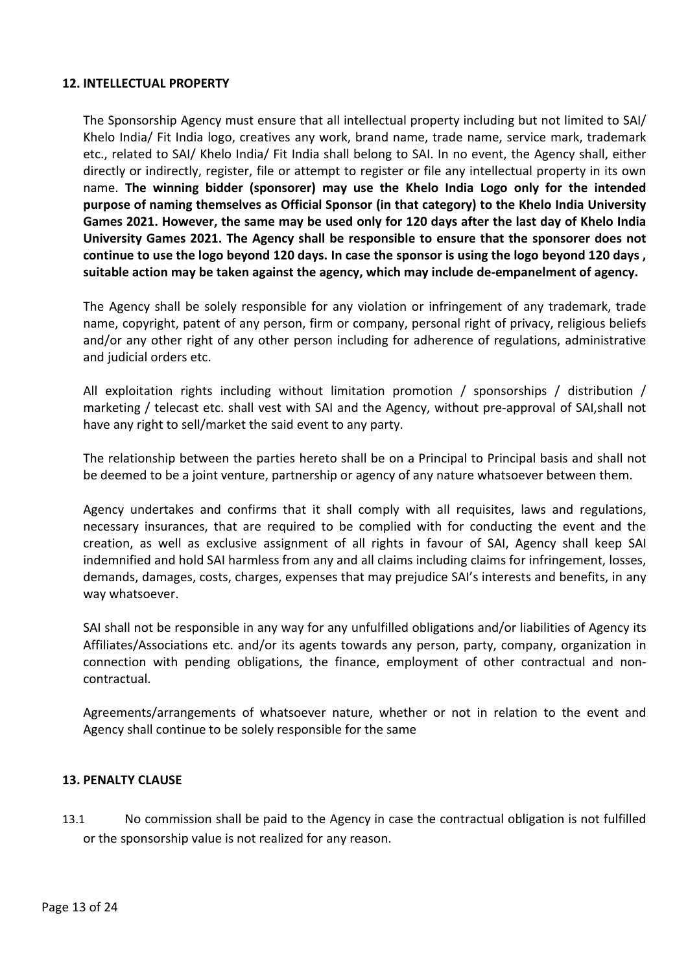### 12. INTELLECTUAL PROPERTY

The Sponsorship Agency must ensure that all intellectual property including but not limited to SAI/ Khelo India/ Fit India logo, creatives any work, brand name, trade name, service mark, trademark etc., related to SAI/ Khelo India/ Fit India shall belong to SAI. In no event, the Agency shall, either directly or indirectly, register, file or attempt to register or file any intellectual property in its own name. The winning bidder (sponsorer) may use the Khelo India Logo only for the intended purpose of naming themselves as Official Sponsor (in that category) to the Khelo India University Games 2021. However, the same may be used only for 120 days after the last day of Khelo India University Games 2021. The Agency shall be responsible to ensure that the sponsorer does not continue to use the logo beyond 120 days. In case the sponsor is using the logo beyond 120 days , suitable action may be taken against the agency, which may include de-empanelment of agency.

The Agency shall be solely responsible for any violation or infringement of any trademark, trade name, copyright, patent of any person, firm or company, personal right of privacy, religious beliefs and/or any other right of any other person including for adherence of regulations, administrative and judicial orders etc.

All exploitation rights including without limitation promotion / sponsorships / distribution / marketing / telecast etc. shall vest with SAI and the Agency, without pre-approval of SAI,shall not have any right to sell/market the said event to any party.

The relationship between the parties hereto shall be on a Principal to Principal basis and shall not be deemed to be a joint venture, partnership or agency of any nature whatsoever between them.

Agency undertakes and confirms that it shall comply with all requisites, laws and regulations, necessary insurances, that are required to be complied with for conducting the event and the creation, as well as exclusive assignment of all rights in favour of SAI, Agency shall keep SAI indemnified and hold SAI harmless from any and all claims including claims for infringement, losses, demands, damages, costs, charges, expenses that may prejudice SAI's interests and benefits, in any way whatsoever.

SAI shall not be responsible in any way for any unfulfilled obligations and/or liabilities of Agency its Affiliates/Associations etc. and/or its agents towards any person, party, company, organization in connection with pending obligations, the finance, employment of other contractual and noncontractual.

Agreements/arrangements of whatsoever nature, whether or not in relation to the event and Agency shall continue to be solely responsible for the same

#### 13. PENALTY CLAUSE

13.1 No commission shall be paid to the Agency in case the contractual obligation is not fulfilled or the sponsorship value is not realized for any reason.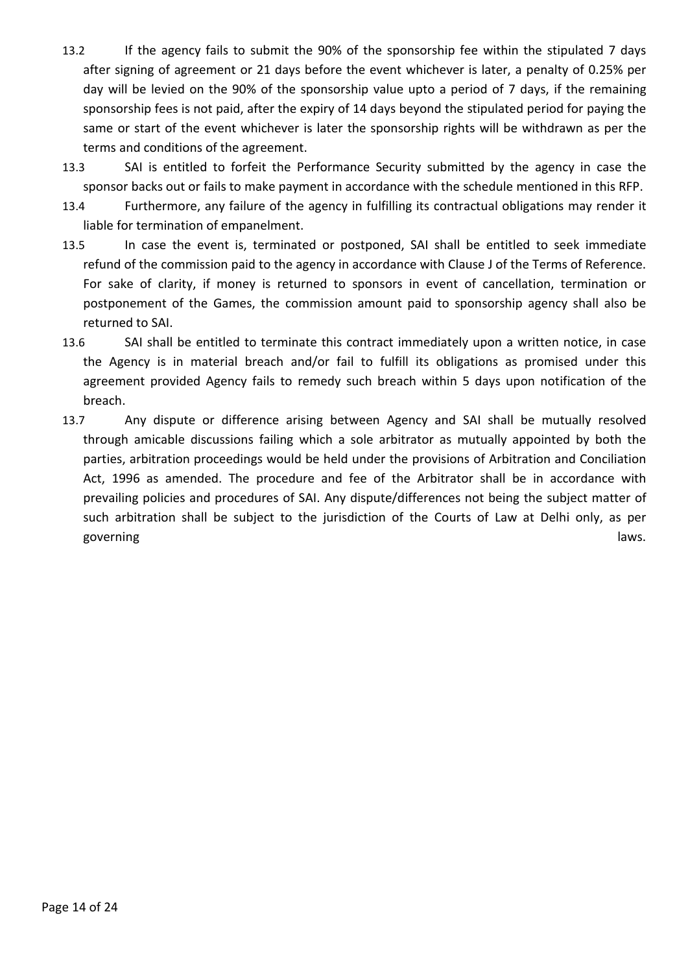- 13.2 If the agency fails to submit the 90% of the sponsorship fee within the stipulated 7 days after signing of agreement or 21 days before the event whichever is later, a penalty of 0.25% per day will be levied on the 90% of the sponsorship value upto a period of 7 days, if the remaining sponsorship fees is not paid, after the expiry of 14 days beyond the stipulated period for paying the same or start of the event whichever is later the sponsorship rights will be withdrawn as per the terms and conditions of the agreement.
- 13.3 SAI is entitled to forfeit the Performance Security submitted by the agency in case the sponsor backs out or fails to make payment in accordance with the schedule mentioned in this RFP.
- 13.4 Furthermore, any failure of the agency in fulfilling its contractual obligations may render it liable for termination of empanelment.
- 13.5 In case the event is, terminated or postponed, SAI shall be entitled to seek immediate refund of the commission paid to the agency in accordance with Clause J of the Terms of Reference. For sake of clarity, if money is returned to sponsors in event of cancellation, termination or postponement of the Games, the commission amount paid to sponsorship agency shall also be returned to SAI.
- 13.6 SAI shall be entitled to terminate this contract immediately upon a written notice, in case the Agency is in material breach and/or fail to fulfill its obligations as promised under this agreement provided Agency fails to remedy such breach within 5 days upon notification of the breach.
- 13.7 Any dispute or difference arising between Agency and SAI shall be mutually resolved through amicable discussions failing which a sole arbitrator as mutually appointed by both the parties, arbitration proceedings would be held under the provisions of Arbitration and Conciliation Act, 1996 as amended. The procedure and fee of the Arbitrator shall be in accordance with prevailing policies and procedures of SAI. Any dispute/differences not being the subject matter of such arbitration shall be subject to the jurisdiction of the Courts of Law at Delhi only, as per governing and the state of the state of the state of the state of the state of the state of the state of the state of the state of the state of the state of the state of the state of the state of the state of the state of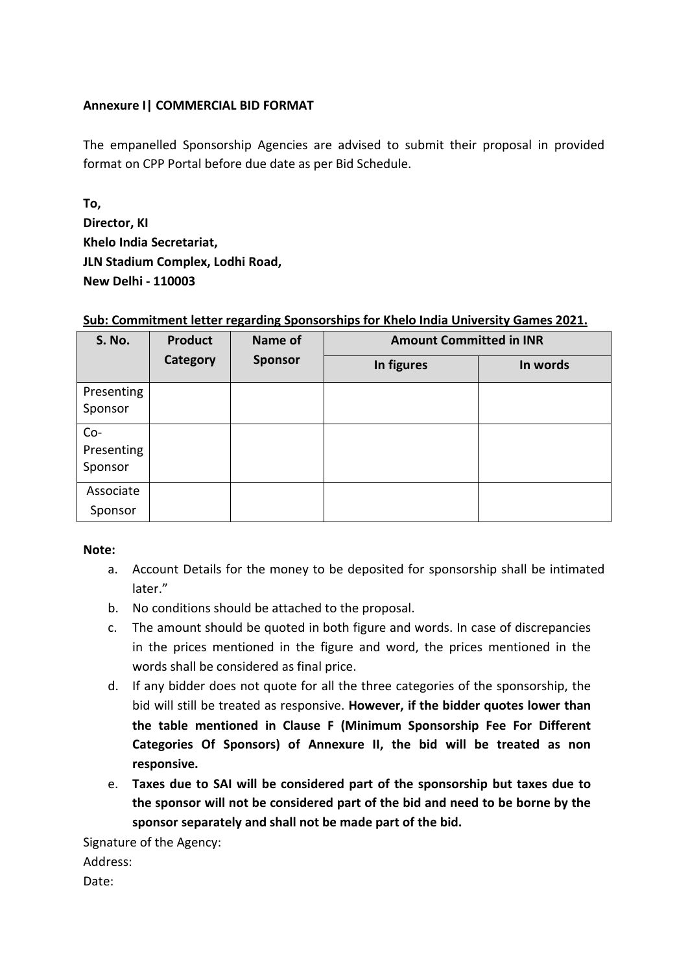## Annexure I| COMMERCIAL BID FORMAT

The empanelled Sponsorship Agencies are advised to submit their proposal in provided format on CPP Portal before due date as per Bid Schedule.

To, Director, KI Khelo India Secretariat, JLN Stadium Complex, Lodhi Road, New Delhi - 110003

# Sub: Commitment letter regarding Sponsorships for Khelo India University Games 2021.

| S. No.                         | Name of<br><b>Product</b> | <b>Amount Committed in INR</b> |            |          |
|--------------------------------|---------------------------|--------------------------------|------------|----------|
|                                | Category                  | <b>Sponsor</b>                 | In figures | In words |
| Presenting<br>Sponsor          |                           |                                |            |          |
| $Co-$<br>Presenting<br>Sponsor |                           |                                |            |          |
| Associate<br>Sponsor           |                           |                                |            |          |

### Note:

- a. Account Details for the money to be deposited for sponsorship shall be intimated later."
- b. No conditions should be attached to the proposal.
- c. The amount should be quoted in both figure and words. In case of discrepancies in the prices mentioned in the figure and word, the prices mentioned in the words shall be considered as final price.
- d. If any bidder does not quote for all the three categories of the sponsorship, the bid will still be treated as responsive. However, if the bidder quotes lower than the table mentioned in Clause F (Minimum Sponsorship Fee For Different Categories Of Sponsors) of Annexure II, the bid will be treated as non responsive.
- e. Taxes due to SAI will be considered part of the sponsorship but taxes due to the sponsor will not be considered part of the bid and need to be borne by the sponsor separately and shall not be made part of the bid.

Signature of the Agency:

Address:

Date: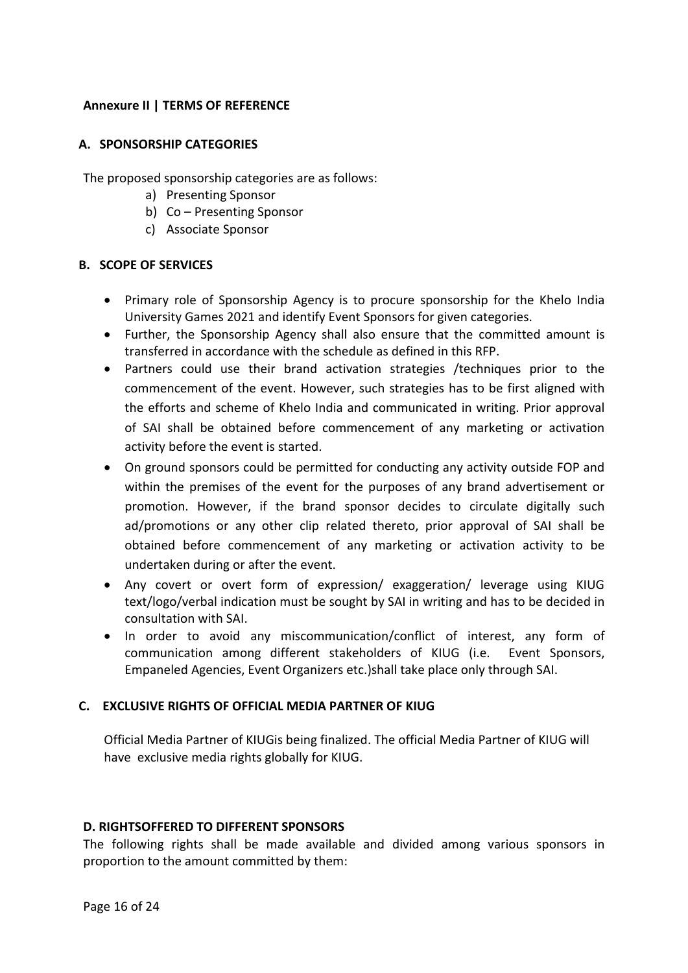## Annexure II | TERMS OF REFERENCE

### A. SPONSORSHIP CATEGORIES

The proposed sponsorship categories are as follows:

- a) Presenting Sponsor
- b) Co Presenting Sponsor
- c) Associate Sponsor

### B. SCOPE OF SERVICES

- Primary role of Sponsorship Agency is to procure sponsorship for the Khelo India University Games 2021 and identify Event Sponsors for given categories.
- Further, the Sponsorship Agency shall also ensure that the committed amount is transferred in accordance with the schedule as defined in this RFP.
- Partners could use their brand activation strategies /techniques prior to the commencement of the event. However, such strategies has to be first aligned with the efforts and scheme of Khelo India and communicated in writing. Prior approval of SAI shall be obtained before commencement of any marketing or activation activity before the event is started.
- On ground sponsors could be permitted for conducting any activity outside FOP and within the premises of the event for the purposes of any brand advertisement or promotion. However, if the brand sponsor decides to circulate digitally such ad/promotions or any other clip related thereto, prior approval of SAI shall be obtained before commencement of any marketing or activation activity to be undertaken during or after the event.
- Any covert or overt form of expression/ exaggeration/ leverage using KIUG text/logo/verbal indication must be sought by SAI in writing and has to be decided in consultation with SAI.
- In order to avoid any miscommunication/conflict of interest, any form of communication among different stakeholders of KIUG (i.e. Event Sponsors, Empaneled Agencies, Event Organizers etc.)shall take place only through SAI.

### C. EXCLUSIVE RIGHTS OF OFFICIAL MEDIA PARTNER OF KIUG

Official Media Partner of KIUGis being finalized. The official Media Partner of KIUG will have exclusive media rights globally for KIUG.

### D. RIGHTSOFFERED TO DIFFERENT SPONSORS

The following rights shall be made available and divided among various sponsors in proportion to the amount committed by them: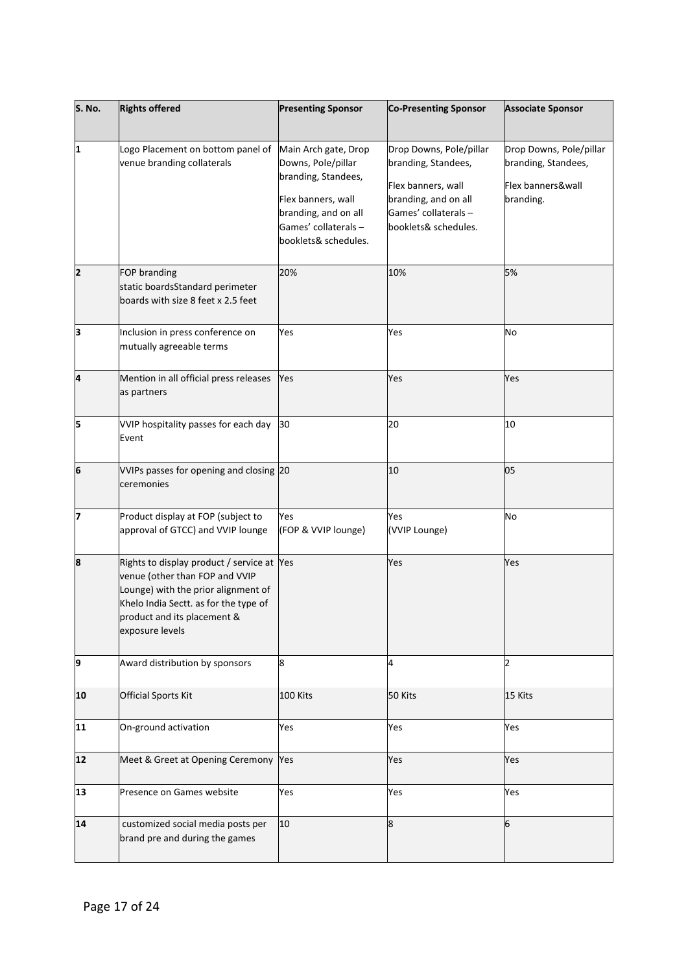| S. No. | <b>Rights offered</b>                                                                                                                                                                                          | <b>Presenting Sponsor</b>                                                                                                                                       | <b>Co-Presenting Sponsor</b>                                                                                                                 | <b>Associate Sponsor</b>                                                         |
|--------|----------------------------------------------------------------------------------------------------------------------------------------------------------------------------------------------------------------|-----------------------------------------------------------------------------------------------------------------------------------------------------------------|----------------------------------------------------------------------------------------------------------------------------------------------|----------------------------------------------------------------------------------|
| 1      | Logo Placement on bottom panel of<br>venue branding collaterals                                                                                                                                                | Main Arch gate, Drop<br>Downs, Pole/pillar<br>branding, Standees,<br>Flex banners, wall<br>branding, and on all<br>Games' collaterals -<br>booklets& schedules. | Drop Downs, Pole/pillar<br>branding, Standees,<br>Flex banners, wall<br>branding, and on all<br>Games' collaterals -<br>booklets& schedules. | Drop Downs, Pole/pillar<br>branding, Standees,<br>Flex banners&wall<br>branding. |
| 2      | FOP branding<br>static boardsStandard perimeter<br>boards with size 8 feet x 2.5 feet                                                                                                                          | 20%                                                                                                                                                             | 10%                                                                                                                                          | 5%                                                                               |
| 3      | Inclusion in press conference on<br>mutually agreeable terms                                                                                                                                                   | Yes                                                                                                                                                             | Yes                                                                                                                                          | No                                                                               |
| 4      | Mention in all official press releases<br>as partners                                                                                                                                                          | Yes                                                                                                                                                             | Yes                                                                                                                                          | Yes                                                                              |
| 5      | VVIP hospitality passes for each day<br>Event                                                                                                                                                                  | 30                                                                                                                                                              | 20                                                                                                                                           | 10                                                                               |
| 6      | VVIPs passes for opening and closing 20<br>ceremonies                                                                                                                                                          |                                                                                                                                                                 | 10                                                                                                                                           | 05                                                                               |
| 7      | Product display at FOP (subject to<br>approval of GTCC) and VVIP lounge                                                                                                                                        | Yes<br>(FOP & VVIP lounge)                                                                                                                                      | Yes<br>(VVIP Lounge)                                                                                                                         | No                                                                               |
| 8      | Rights to display product / service at Yes<br>venue (other than FOP and VVIP<br>Lounge) with the prior alignment of<br>Khelo India Sectt. as for the type of<br>product and its placement &<br>exposure levels |                                                                                                                                                                 | Yes                                                                                                                                          | Yes                                                                              |
| 9      | Award distribution by sponsors                                                                                                                                                                                 | 8                                                                                                                                                               | 4                                                                                                                                            | 2                                                                                |
| 10     | <b>Official Sports Kit</b>                                                                                                                                                                                     | 100 Kits                                                                                                                                                        | 50 Kits                                                                                                                                      | 15 Kits                                                                          |
| 11     | On-ground activation                                                                                                                                                                                           | Yes                                                                                                                                                             | Yes                                                                                                                                          | Yes                                                                              |
| 12     | Meet & Greet at Opening Ceremony Yes                                                                                                                                                                           |                                                                                                                                                                 | Yes                                                                                                                                          | Yes                                                                              |
| 13     | Presence on Games website                                                                                                                                                                                      | Yes                                                                                                                                                             | Yes                                                                                                                                          | Yes                                                                              |
| 14     | customized social media posts per<br>brand pre and during the games                                                                                                                                            | 10                                                                                                                                                              | 8                                                                                                                                            | 6                                                                                |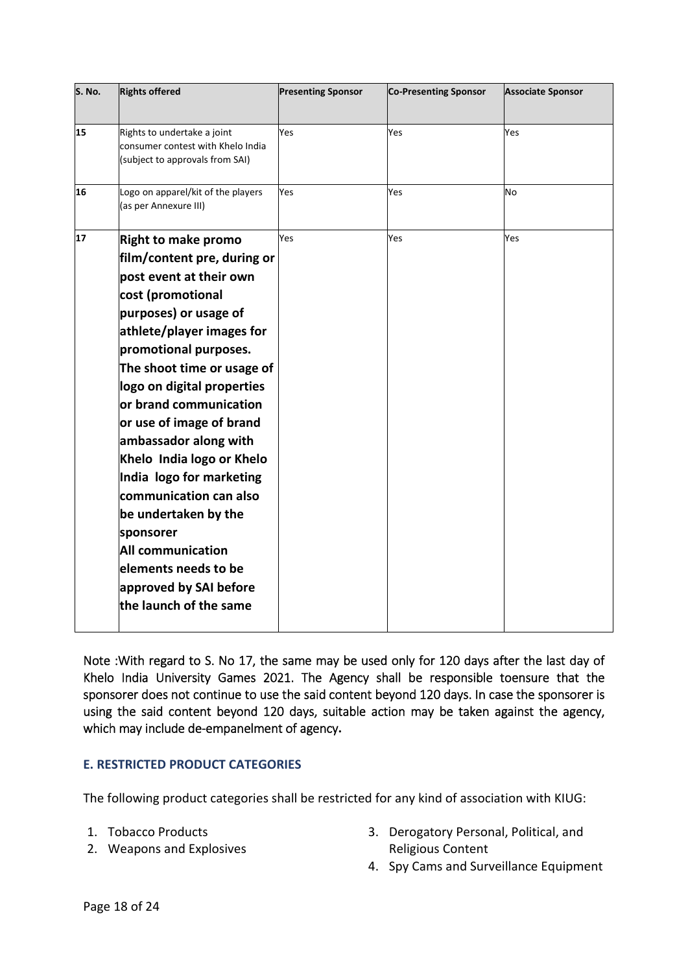| S. No. | <b>Rights offered</b>                                                                               | <b>Presenting Sponsor</b> | <b>Co-Presenting Sponsor</b> | <b>Associate Sponsor</b> |
|--------|-----------------------------------------------------------------------------------------------------|---------------------------|------------------------------|--------------------------|
| 15     | Rights to undertake a joint<br>consumer contest with Khelo India<br>(subject to approvals from SAI) | Yes                       | Yes                          | Yes                      |
| 16     | Logo on apparel/kit of the players<br>(as per Annexure III)                                         | Yes                       | Yes                          | No                       |
| 17     | <b>Right to make promo</b>                                                                          | Yes                       | Yes                          | Yes                      |
|        | film/content pre, during or                                                                         |                           |                              |                          |
|        | post event at their own                                                                             |                           |                              |                          |
|        | cost (promotional                                                                                   |                           |                              |                          |
|        | purposes) or usage of                                                                               |                           |                              |                          |
|        | athlete/player images for                                                                           |                           |                              |                          |
|        | promotional purposes.                                                                               |                           |                              |                          |
|        | The shoot time or usage of                                                                          |                           |                              |                          |
|        | logo on digital properties                                                                          |                           |                              |                          |
|        | or brand communication                                                                              |                           |                              |                          |
|        | or use of image of brand                                                                            |                           |                              |                          |
|        | ambassador along with<br>Khelo India logo or Khelo                                                  |                           |                              |                          |
|        | India logo for marketing                                                                            |                           |                              |                          |
|        | communication can also                                                                              |                           |                              |                          |
|        | be undertaken by the                                                                                |                           |                              |                          |
|        | sponsorer                                                                                           |                           |                              |                          |
|        | <b>All communication</b>                                                                            |                           |                              |                          |
|        | elements needs to be                                                                                |                           |                              |                          |
|        | approved by SAI before                                                                              |                           |                              |                          |
|        | the launch of the same                                                                              |                           |                              |                          |
|        |                                                                                                     |                           |                              |                          |

Note :With regard to S. No 17, the same may be used only for 120 days after the last day of Khelo India University Games 2021. The Agency shall be responsible toensure that the sponsorer does not continue to use the said content beyond 120 days. In case the sponsorer is using the said content beyond 120 days, suitable action may be taken against the agency, which may include de-empanelment of agency.

### E. RESTRICTED PRODUCT CATEGORIES

The following product categories shall be restricted for any kind of association with KIUG:

- 1. Tobacco Products
- 2. Weapons and Explosives
- 3. Derogatory Personal, Political, and Religious Content
- 4. Spy Cams and Surveillance Equipment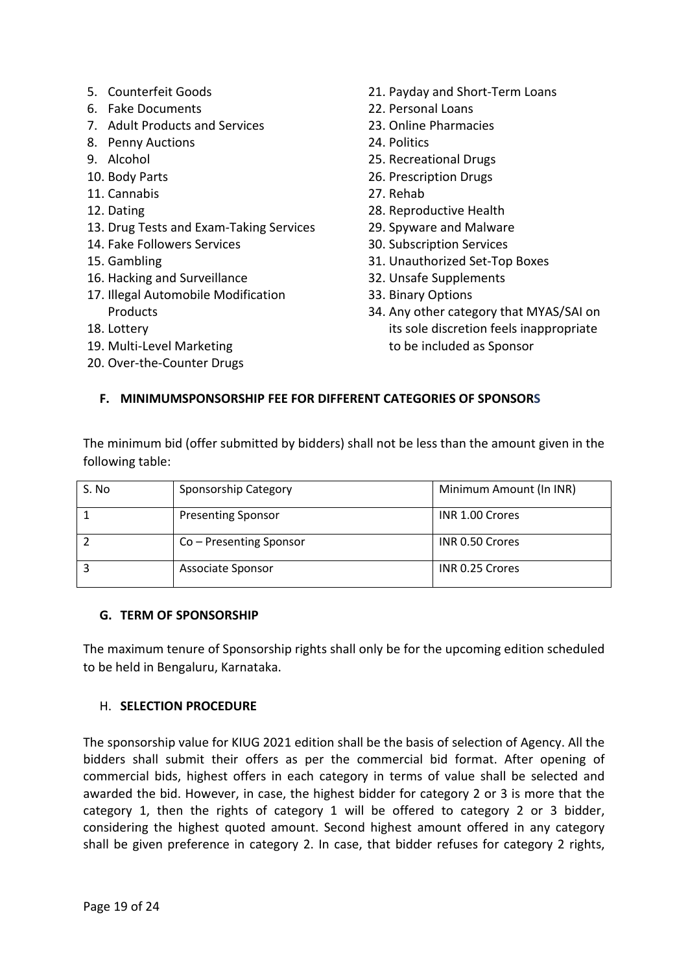- 5. Counterfeit Goods
- 6. Fake Documents
- 7. Adult Products and Services
- 8. Penny Auctions
- 9. Alcohol
- 10. Body Parts
- 11. Cannabis
- 12. Dating
- 13. Drug Tests and Exam-Taking Services
- 14. Fake Followers Services
- 15. Gambling
- 16. Hacking and Surveillance
- 17. Illegal Automobile Modification **Products**
- 18. Lottery
- 19. Multi-Level Marketing
- 20. Over-the-Counter Drugs
- 21. Payday and Short-Term Loans
- 22. Personal Loans
- 23. Online Pharmacies
- 24. Politics
- 25. Recreational Drugs
- 26. Prescription Drugs
- 27. Rehab
- 28. Reproductive Health
- 29. Spyware and Malware
- 30. Subscription Services
- 31. Unauthorized Set-Top Boxes
- 32. Unsafe Supplements
- 33. Binary Options
- 34. Any other category that MYAS/SAI on its sole discretion feels inappropriate to be included as Sponsor

# F. MINIMUMSPONSORSHIP FEE FOR DIFFERENT CATEGORIES OF SPONSORS

The minimum bid (offer submitted by bidders) shall not be less than the amount given in the following table:

| S. No | Sponsorship Category      | Minimum Amount (In INR) |
|-------|---------------------------|-------------------------|
|       | <b>Presenting Sponsor</b> | INR 1.00 Crores         |
|       | Co – Presenting Sponsor   | INR 0.50 Crores         |
|       | Associate Sponsor         | INR 0.25 Crores         |

## G. TERM OF SPONSORSHIP

The maximum tenure of Sponsorship rights shall only be for the upcoming edition scheduled to be held in Bengaluru, Karnataka.

## H. SELECTION PROCEDURE

The sponsorship value for KIUG 2021 edition shall be the basis of selection of Agency. All the bidders shall submit their offers as per the commercial bid format. After opening of commercial bids, highest offers in each category in terms of value shall be selected and awarded the bid. However, in case, the highest bidder for category 2 or 3 is more that the category 1, then the rights of category 1 will be offered to category 2 or 3 bidder, considering the highest quoted amount. Second highest amount offered in any category shall be given preference in category 2. In case, that bidder refuses for category 2 rights,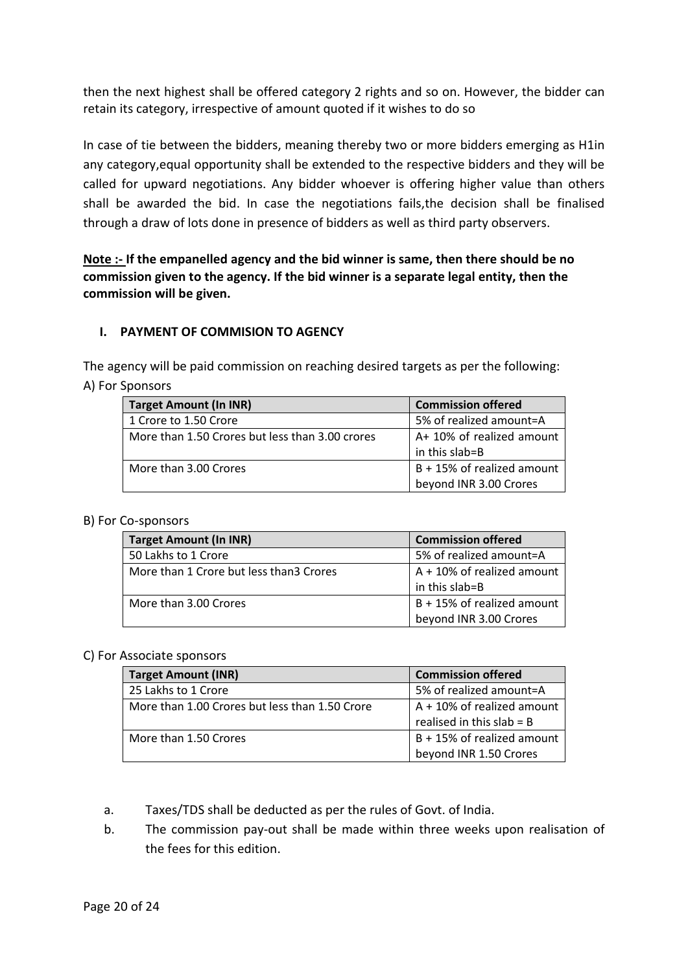then the next highest shall be offered category 2 rights and so on. However, the bidder can retain its category, irrespective of amount quoted if it wishes to do so

In case of tie between the bidders, meaning thereby two or more bidders emerging as H1in any category,equal opportunity shall be extended to the respective bidders and they will be called for upward negotiations. Any bidder whoever is offering higher value than others shall be awarded the bid. In case the negotiations fails,the decision shall be finalised through a draw of lots done in presence of bidders as well as third party observers.

Note :- If the empanelled agency and the bid winner is same, then there should be no commission given to the agency. If the bid winner is a separate legal entity, then the commission will be given.

### I. PAYMENT OF COMMISION TO AGENCY

The agency will be paid commission on reaching desired targets as per the following: A) For Sponsors

| <b>Target Amount (In INR)</b>                   | <b>Commission offered</b>  |
|-------------------------------------------------|----------------------------|
| 1 Crore to 1.50 Crore                           | 5% of realized amount=A    |
| More than 1.50 Crores but less than 3.00 crores | A+ 10% of realized amount  |
|                                                 | in this slab=B             |
| More than 3.00 Crores                           | B + 15% of realized amount |
|                                                 | beyond INR 3.00 Crores     |

#### B) For Co-sponsors

| <b>Target Amount (In INR)</b>            | <b>Commission offered</b>     |
|------------------------------------------|-------------------------------|
| 50 Lakhs to 1 Crore                      | 5% of realized amount=A       |
| More than 1 Crore but less than 3 Crores | $A + 10\%$ of realized amount |
|                                          | in this slab=B                |
| More than 3.00 Crores                    | B + 15% of realized amount    |
|                                          | beyond INR 3.00 Crores        |

### C) For Associate sponsors

| <b>Target Amount (INR)</b>                     | <b>Commission offered</b>     |
|------------------------------------------------|-------------------------------|
| 25 Lakhs to 1 Crore                            | 5% of realized amount=A       |
| More than 1.00 Crores but less than 1.50 Crore | $A + 10\%$ of realized amount |
|                                                | realised in this slab = $B$   |
| More than 1.50 Crores                          | B + 15% of realized amount    |
|                                                | beyond INR 1.50 Crores        |

- a. Taxes/TDS shall be deducted as per the rules of Govt. of India.
- b. The commission pay-out shall be made within three weeks upon realisation of the fees for this edition.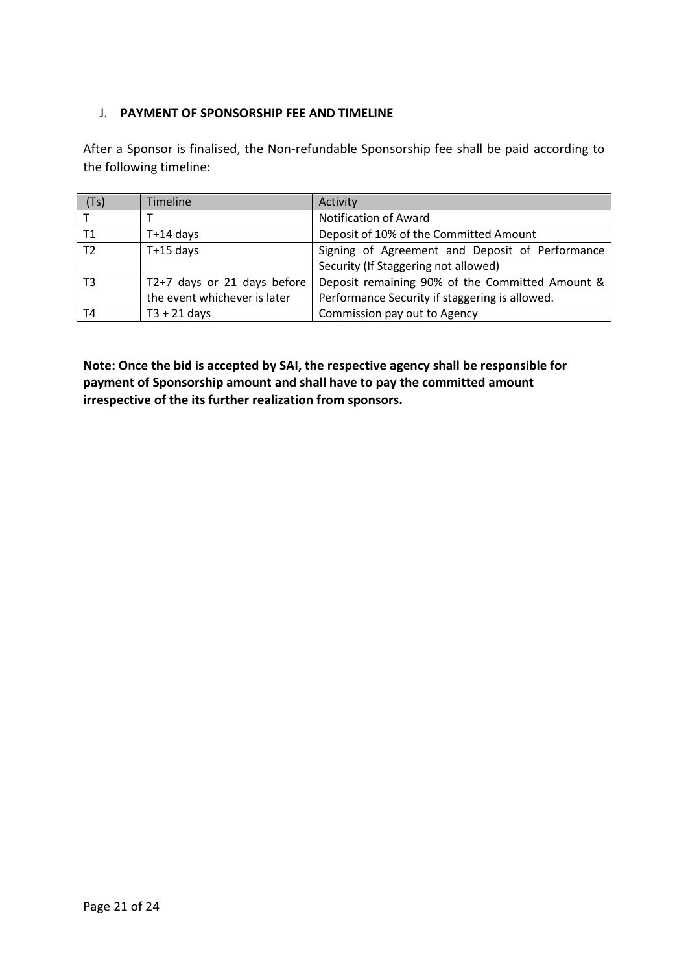## J. PAYMENT OF SPONSORSHIP FEE AND TIMELINE

After a Sponsor is finalised, the Non-refundable Sponsorship fee shall be paid according to the following timeline:

| (Ts)           | <b>Timeline</b>              | Activity                                        |
|----------------|------------------------------|-------------------------------------------------|
|                |                              | <b>Notification of Award</b>                    |
| Т1             | $T+14$ days                  | Deposit of 10% of the Committed Amount          |
| T <sub>2</sub> | $T+15$ days                  | Signing of Agreement and Deposit of Performance |
|                |                              | Security (If Staggering not allowed)            |
| T3             | T2+7 days or 21 days before  | Deposit remaining 90% of the Committed Amount & |
|                | the event whichever is later | Performance Security if staggering is allowed.  |
| T4             | $T3 + 21$ days               | Commission pay out to Agency                    |

Note: Once the bid is accepted by SAI, the respective agency shall be responsible for payment of Sponsorship amount and shall have to pay the committed amount irrespective of the its further realization from sponsors.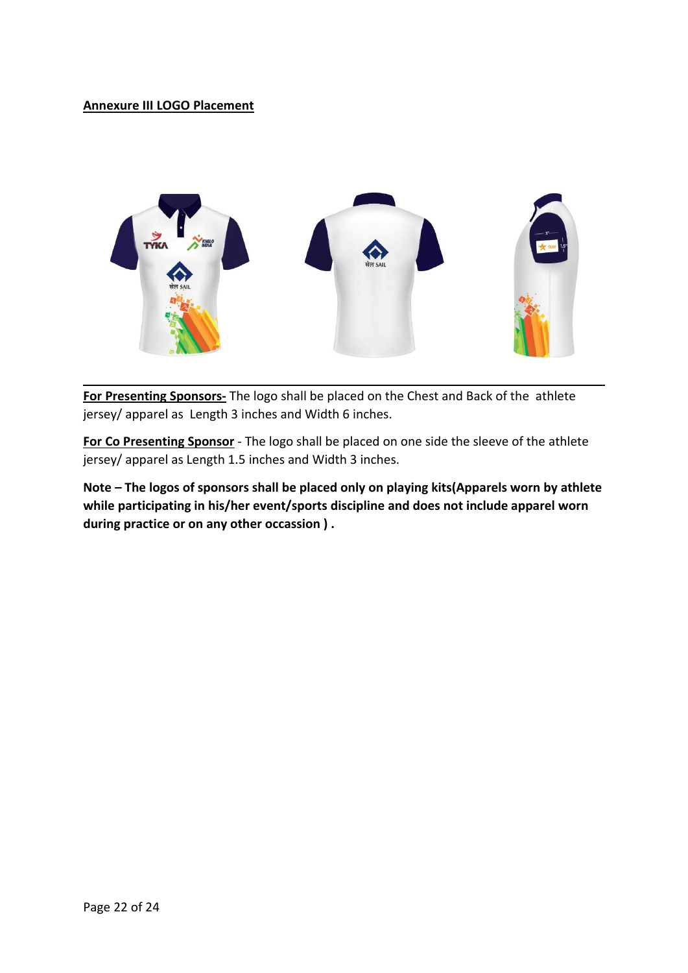## Annexure III LOGO Placement



For Presenting Sponsors- The logo shall be placed on the Chest and Back of the athlete jersey/ apparel as Length 3 inches and Width 6 inches.

For Co Presenting Sponsor - The logo shall be placed on one side the sleeve of the athlete jersey/ apparel as Length 1.5 inches and Width 3 inches.

Note – The logos of sponsors shall be placed only on playing kits(Apparels worn by athlete while participating in his/her event/sports discipline and does not include apparel worn during practice or on any other occassion ) .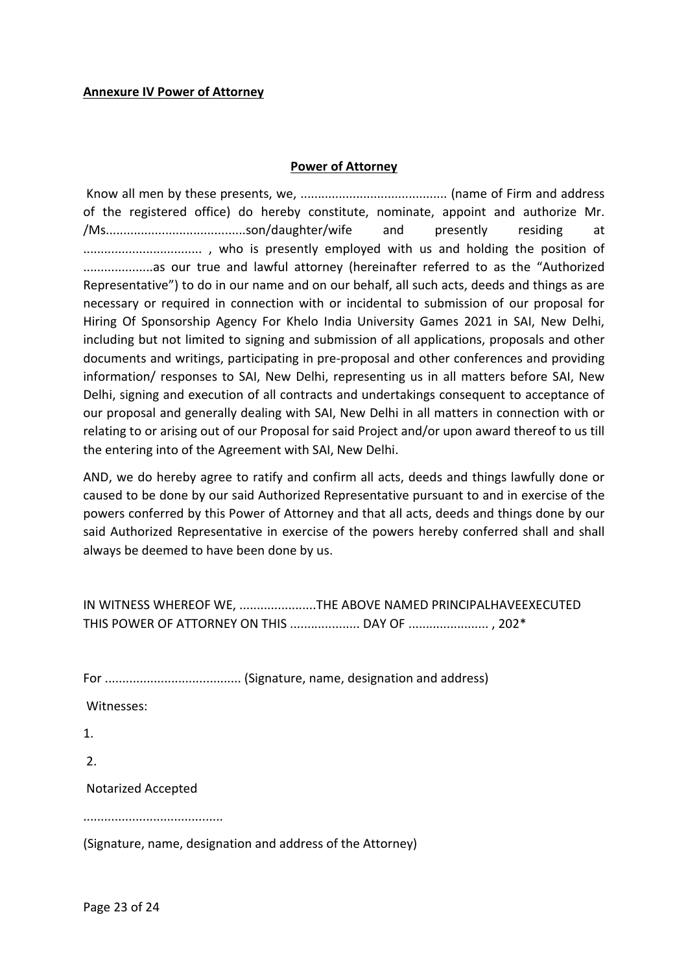#### Power of Attorney

Know all men by these presents, we, .......................................... (name of Firm and address of the registered office) do hereby constitute, nominate, appoint and authorize Mr. /Ms........................................son/daughter/wife and presently residing at .................................. , who is presently employed with us and holding the position of ....................as our true and lawful attorney (hereinafter referred to as the "Authorized Representative") to do in our name and on our behalf, all such acts, deeds and things as are necessary or required in connection with or incidental to submission of our proposal for Hiring Of Sponsorship Agency For Khelo India University Games 2021 in SAI, New Delhi, including but not limited to signing and submission of all applications, proposals and other documents and writings, participating in pre-proposal and other conferences and providing information/ responses to SAI, New Delhi, representing us in all matters before SAI, New Delhi, signing and execution of all contracts and undertakings consequent to acceptance of our proposal and generally dealing with SAI, New Delhi in all matters in connection with or relating to or arising out of our Proposal for said Project and/or upon award thereof to us till the entering into of the Agreement with SAI, New Delhi.

AND, we do hereby agree to ratify and confirm all acts, deeds and things lawfully done or caused to be done by our said Authorized Representative pursuant to and in exercise of the powers conferred by this Power of Attorney and that all acts, deeds and things done by our said Authorized Representative in exercise of the powers hereby conferred shall and shall always be deemed to have been done by us.

| IN WITNESS WHEREOF WE, THE ABOVE NAMED PRINCIPALHAVEEXECUTED |  |
|--------------------------------------------------------------|--|
| THIS POWER OF ATTORNEY ON THIS  DAY OF  , 202*               |  |

|--|--|

Witnesses:

1.

2.

Notarized Accepted

........................................

(Signature, name, designation and address of the Attorney)